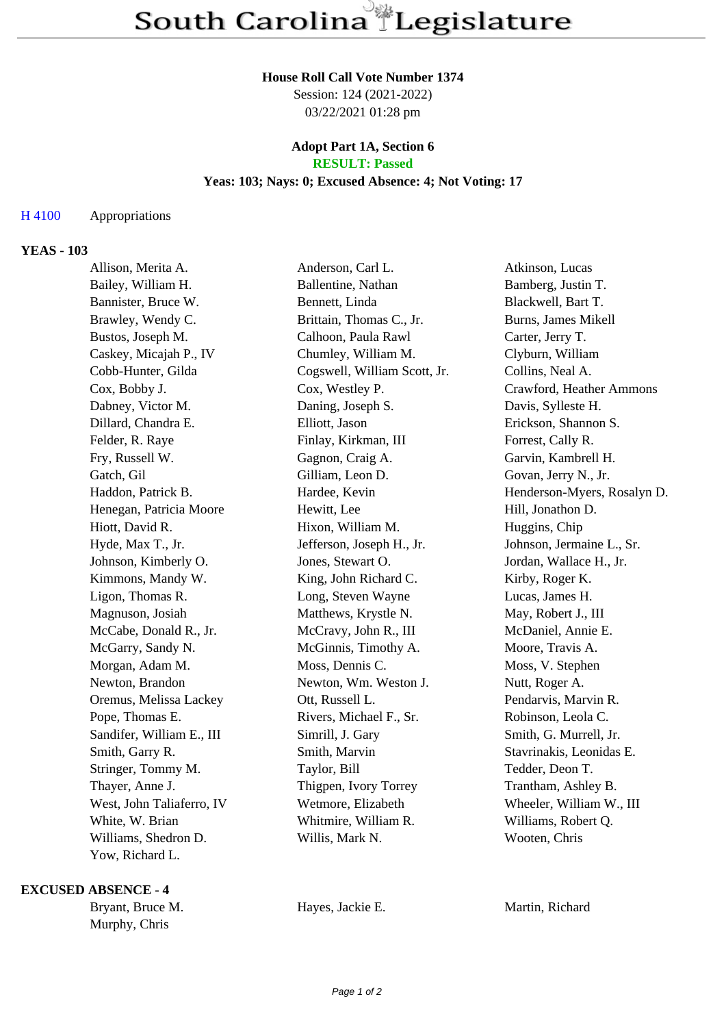#### **House Roll Call Vote Number 1374**

Session: 124 (2021-2022) 03/22/2021 01:28 pm

#### **Adopt Part 1A, Section 6 RESULT: Passed**

## **Yeas: 103; Nays: 0; Excused Absence: 4; Not Voting: 17**

## H 4100 Appropriations

## **YEAS - 103**

| Allison, Merita A.        | Anderson, Carl L.            | Atkinson, Lucas             |
|---------------------------|------------------------------|-----------------------------|
| Bailey, William H.        | Ballentine, Nathan           | Bamberg, Justin T.          |
| Bannister, Bruce W.       | Bennett, Linda               | Blackwell, Bart T.          |
| Brawley, Wendy C.         | Brittain, Thomas C., Jr.     | Burns, James Mikell         |
| Bustos, Joseph M.         | Calhoon, Paula Rawl          | Carter, Jerry T.            |
| Caskey, Micajah P., IV    | Chumley, William M.          | Clyburn, William            |
| Cobb-Hunter, Gilda        | Cogswell, William Scott, Jr. | Collins, Neal A.            |
| Cox, Bobby J.             | Cox, Westley P.              | Crawford, Heather Ammons    |
| Dabney, Victor M.         | Daning, Joseph S.            | Davis, Sylleste H.          |
| Dillard, Chandra E.       | Elliott, Jason               | Erickson, Shannon S.        |
| Felder, R. Raye           | Finlay, Kirkman, III         | Forrest, Cally R.           |
| Fry, Russell W.           | Gagnon, Craig A.             | Garvin, Kambrell H.         |
| Gatch, Gil                | Gilliam, Leon D.             | Govan, Jerry N., Jr.        |
| Haddon, Patrick B.        | Hardee, Kevin                | Henderson-Myers, Rosalyn D. |
| Henegan, Patricia Moore   | Hewitt, Lee                  | Hill, Jonathon D.           |
| Hiott, David R.           | Hixon, William M.            | Huggins, Chip               |
| Hyde, Max T., Jr.         | Jefferson, Joseph H., Jr.    | Johnson, Jermaine L., Sr.   |
| Johnson, Kimberly O.      | Jones, Stewart O.            | Jordan, Wallace H., Jr.     |
| Kimmons, Mandy W.         | King, John Richard C.        | Kirby, Roger K.             |
| Ligon, Thomas R.          | Long, Steven Wayne           | Lucas, James H.             |
| Magnuson, Josiah          | Matthews, Krystle N.         | May, Robert J., III         |
| McCabe, Donald R., Jr.    | McCravy, John R., III        | McDaniel, Annie E.          |
| McGarry, Sandy N.         | McGinnis, Timothy A.         | Moore, Travis A.            |
| Morgan, Adam M.           | Moss, Dennis C.              | Moss, V. Stephen            |
| Newton, Brandon           | Newton, Wm. Weston J.        | Nutt, Roger A.              |
| Oremus, Melissa Lackey    | Ott, Russell L.              | Pendarvis, Marvin R.        |
| Pope, Thomas E.           | Rivers, Michael F., Sr.      | Robinson, Leola C.          |
| Sandifer, William E., III | Simrill, J. Gary             | Smith, G. Murrell, Jr.      |
| Smith, Garry R.           | Smith, Marvin                | Stavrinakis, Leonidas E.    |
| Stringer, Tommy M.        | Taylor, Bill                 | Tedder, Deon T.             |
| Thayer, Anne J.           | Thigpen, Ivory Torrey        | Trantham, Ashley B.         |
| West, John Taliaferro, IV | Wetmore, Elizabeth           | Wheeler, William W., III    |
| White, W. Brian           | Whitmire, William R.         | Williams, Robert Q.         |
| Williams, Shedron D.      | Willis, Mark N.              | Wooten, Chris               |
| Yow, Richard L.           |                              |                             |

#### **EXCUSED ABSENCE - 4**

Bryant, Bruce M. **Hayes, Jackie E.** Martin, Richard Murphy, Chris